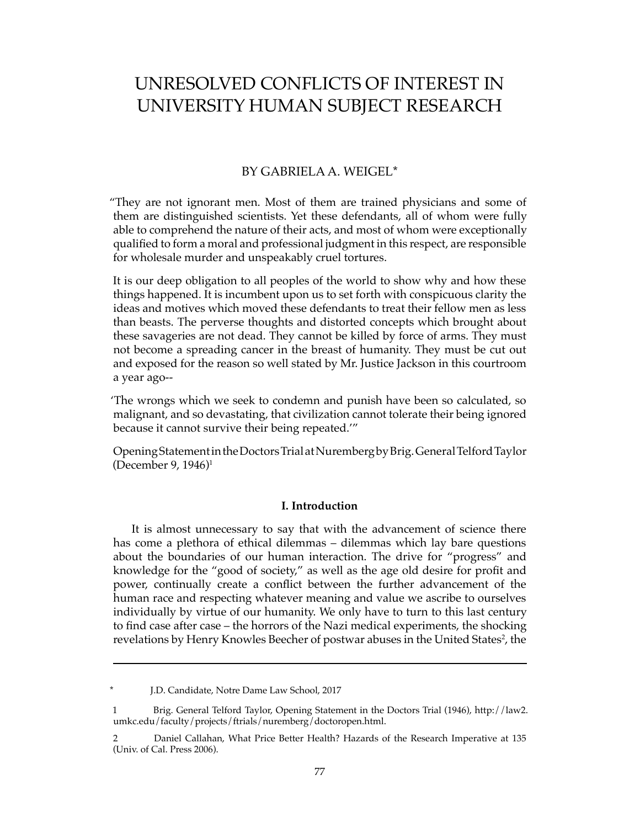# UNRESOLVED CONFLICTS OF INTEREST IN UNIVERSITY HUMAN SUBJECT RESEARCH

# BY GABRIELA A. WEIGEL\*

"They are not ignorant men. Most of them are trained physicians and some of them are distinguished scientists. Yet these defendants, all of whom were fully able to comprehend the nature of their acts, and most of whom were exceptionally qualified to form a moral and professional judgment in this respect, are responsible for wholesale murder and unspeakably cruel tortures.

It is our deep obligation to all peoples of the world to show why and how these things happened. It is incumbent upon us to set forth with conspicuous clarity the ideas and motives which moved these defendants to treat their fellow men as less than beasts. The perverse thoughts and distorted concepts which brought about these savageries are not dead. They cannot be killed by force of arms. They must not become a spreading cancer in the breast of humanity. They must be cut out and exposed for the reason so well stated by Mr. Justice Jackson in this courtroom a year ago--

'The wrongs which we seek to condemn and punish have been so calculated, so malignant, and so devastating, that civilization cannot tolerate their being ignored because it cannot survive their being repeated.'"

Opening Statement in the Doctors Trial at Nuremberg by Brig. General Telford Taylor (December 9, 1946)1

# **I. Introduction**

It is almost unnecessary to say that with the advancement of science there has come a plethora of ethical dilemmas – dilemmas which lay bare questions about the boundaries of our human interaction. The drive for "progress" and knowledge for the "good of society," as well as the age old desire for profit and power, continually create a conflict between the further advancement of the human race and respecting whatever meaning and value we ascribe to ourselves individually by virtue of our humanity. We only have to turn to this last century to find case after case – the horrors of the Nazi medical experiments, the shocking revelations by Henry Knowles Beecher of postwar abuses in the United States<sup>2</sup>, the

J.D. Candidate, Notre Dame Law School, 2017

<sup>1</sup> Brig. General Telford Taylor, Opening Statement in the Doctors Trial (1946), http://law2. umkc.edu/faculty/projects/ftrials/nuremberg/doctoropen.html.

<sup>2</sup> Daniel Callahan, What Price Better Health? Hazards of the Research Imperative at 135 (Univ. of Cal. Press 2006).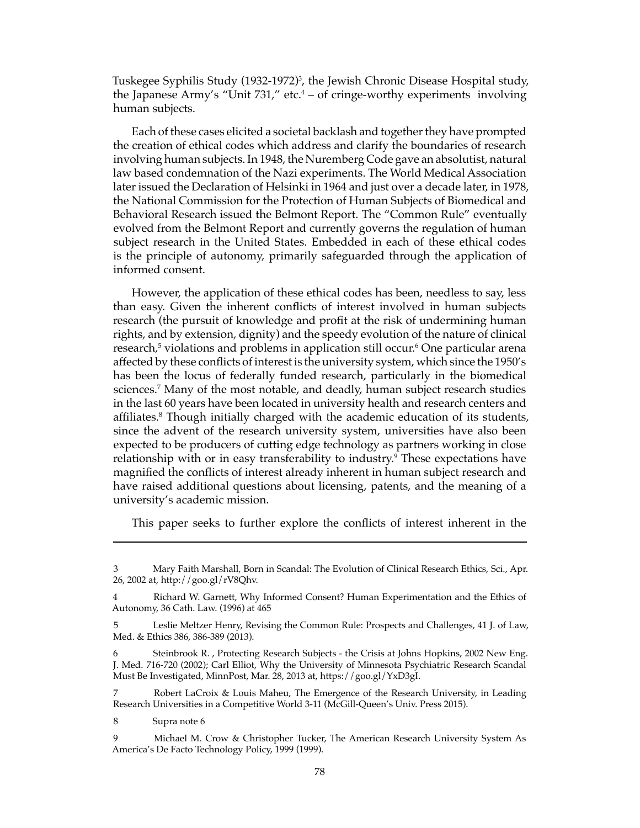Tuskegee Syphilis Study (1932-1972)<sup>3</sup>, the Jewish Chronic Disease Hospital study, the Japanese Army's "Unit 731," etc.<sup>4</sup> – of cringe-worthy experiments involving human subjects.

Each of these cases elicited a societal backlash and together they have prompted the creation of ethical codes which address and clarify the boundaries of research involving human subjects. In 1948, the Nuremberg Code gave an absolutist, natural law based condemnation of the Nazi experiments. The World Medical Association later issued the Declaration of Helsinki in 1964 and just over a decade later, in 1978, the National Commission for the Protection of Human Subjects of Biomedical and Behavioral Research issued the Belmont Report. The "Common Rule" eventually evolved from the Belmont Report and currently governs the regulation of human subject research in the United States. Embedded in each of these ethical codes is the principle of autonomy, primarily safeguarded through the application of informed consent.

However, the application of these ethical codes has been, needless to say, less than easy. Given the inherent conflicts of interest involved in human subjects research (the pursuit of knowledge and profit at the risk of undermining human rights, and by extension, dignity) and the speedy evolution of the nature of clinical research,<sup>5</sup> violations and problems in application still occur.<sup>6</sup> One particular arena affected by these conflicts of interest is the university system, which since the 1950's has been the locus of federally funded research, particularly in the biomedical sciences.7 Many of the most notable, and deadly, human subject research studies in the last 60 years have been located in university health and research centers and affiliates.<sup>8</sup> Though initially charged with the academic education of its students, since the advent of the research university system, universities have also been expected to be producers of cutting edge technology as partners working in close relationship with or in easy transferability to industry.<sup>9</sup> These expectations have magnified the conflicts of interest already inherent in human subject research and have raised additional questions about licensing, patents, and the meaning of a university's academic mission.

This paper seeks to further explore the conflicts of interest inherent in the

8 Supra note 6

<sup>3</sup> Mary Faith Marshall, Born in Scandal: The Evolution of Clinical Research Ethics, Sci., Apr. 26, 2002 at, http://goo.gl/rV8Qhv.

<sup>4</sup> Richard W. Garnett, Why Informed Consent? Human Experimentation and the Ethics of Autonomy, 36 Cath. Law. (1996) at 465

<sup>5</sup> Leslie Meltzer Henry, Revising the Common Rule: Prospects and Challenges, 41 J. of Law, Med. & Ethics 386, 386-389 (2013).

<sup>6</sup> Steinbrook R. , Protecting Research Subjects - the Crisis at Johns Hopkins, 2002 New Eng. J. Med. 716-720 (2002); Carl Elliot, Why the University of Minnesota Psychiatric Research Scandal Must Be Investigated, MinnPost, Mar. 28, 2013 at, https://goo.gl/YxD3gI.

<sup>7</sup> Robert LaCroix & Louis Maheu, The Emergence of the Research University, in Leading Research Universities in a Competitive World 3-11 (McGill-Queen's Univ. Press 2015).

<sup>9</sup> Michael M. Crow & Christopher Tucker, The American Research University System As America's De Facto Technology Policy, 1999 (1999).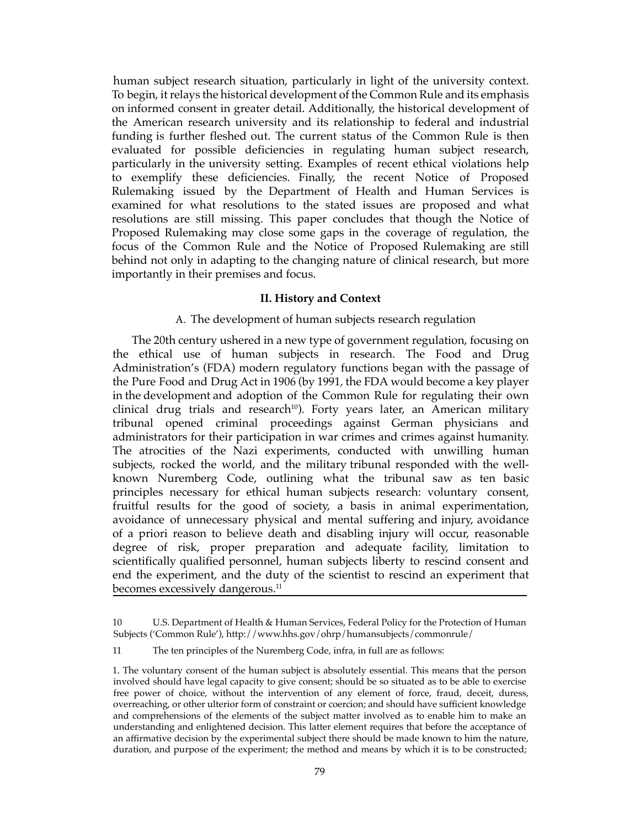human subject research situation, particularly in light of the university context. To begin, it relays the historical development of the Common Rule and its emphasis on informed consent in greater detail. Additionally, the historical development of the American research university and its relationship to federal and industrial funding is further fleshed out. The current status of the Common Rule is then evaluated for possible deficiencies in regulating human subject research, particularly in the university setting. Examples of recent ethical violations help to exemplify these deficiencies. Finally, the recent Notice of Proposed Rulemaking issued by the Department of Health and Human Services is examined for what resolutions to the stated issues are proposed and what resolutions are still missing. This paper concludes that though the Notice of Proposed Rulemaking may close some gaps in the coverage of regulation, the focus of the Common Rule and the Notice of Proposed Rulemaking are still behind not only in adapting to the changing nature of clinical research, but more importantly in their premises and focus.

#### **II. History and Context**

### A. The development of human subjects research regulation

The 20th century ushered in a new type of government regulation, focusing on the ethical use of human subjects in research. The Food and Drug Administration's (FDA) modern regulatory functions began with the passage of the Pure Food and Drug Act in 1906 (by 1991, the FDA would become a key player in the development and adoption of the Common Rule for regulating their own clinical drug trials and research<sup>10</sup>). Forty years later, an American military tribunal opened criminal proceedings against German physicians and administrators for their participation in war crimes and crimes against humanity. The atrocities of the Nazi experiments, conducted with unwilling human subjects, rocked the world, and the military tribunal responded with the wellknown Nuremberg Code, outlining what the tribunal saw as ten basic principles necessary for ethical human subjects research: voluntary consent, fruitful results for the good of society, a basis in animal experimentation, avoidance of unnecessary physical and mental suffering and injury, avoidance of a priori reason to believe death and disabling injury will occur, reasonable degree of risk, proper preparation and adequate facility, limitation to scientifically qualified personnel, human subjects liberty to rescind consent and end the experiment, and the duty of the scientist to rescind an experiment that becomes excessively dangerous.<sup>11</sup>

<sup>10</sup> U.S. Department of Health & Human Services, Federal Policy for the Protection of Human Subjects ('Common Rule'), http://www.hhs.gov/ohrp/humansubjects/commonrule/

<sup>11</sup> The ten principles of the Nuremberg Code, infra, in full are as follows:

<sup>1.</sup> The voluntary consent of the human subject is absolutely essential. This means that the person involved should have legal capacity to give consent; should be so situated as to be able to exercise free power of choice, without the intervention of any element of force, fraud, deceit, duress, overreaching, or other ulterior form of constraint or coercion; and should have sufficient knowledge and comprehensions of the elements of the subject matter involved as to enable him to make an understanding and enlightened decision. This latter element requires that before the acceptance of an affirmative decision by the experimental subject there should be made known to him the nature, duration, and purpose of the experiment; the method and means by which it is to be constructed;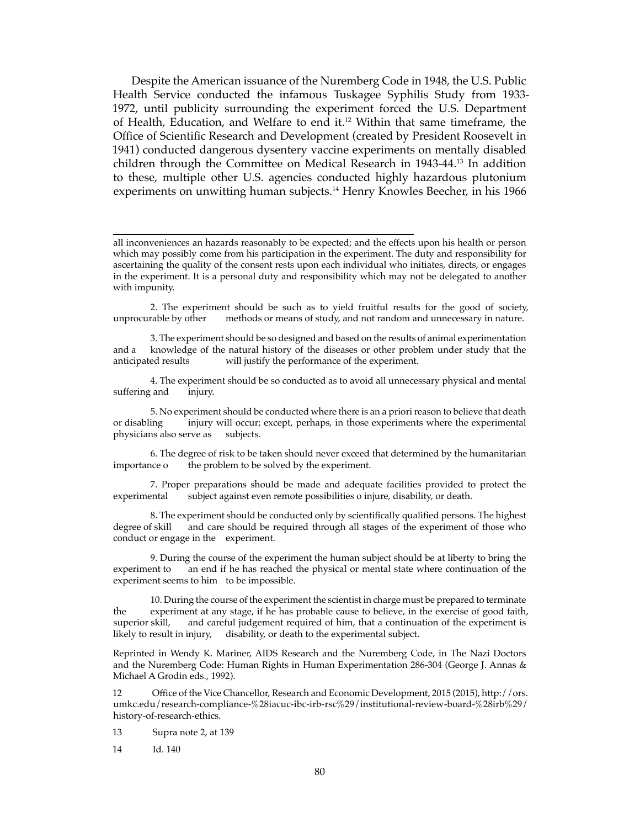Despite the American issuance of the Nuremberg Code in 1948, the U.S. Public Health Service conducted the infamous Tuskagee Syphilis Study from 1933- 1972, until publicity surrounding the experiment forced the U.S. Department of Health, Education, and Welfare to end it.<sup>12</sup> Within that same timeframe, the Office of Scientific Research and Development (created by President Roosevelt in 1941) conducted dangerous dysentery vaccine experiments on mentally disabled children through the Committee on Medical Research in 1943-44.13 In addition to these, multiple other U.S. agencies conducted highly hazardous plutonium experiments on unwitting human subjects.<sup>14</sup> Henry Knowles Beecher, in his 1966

2. The experiment should be such as to yield fruitful results for the good of society, unprocurable by other methods or means of study, and not random and unnecessary in nature. methods or means of study, and not random and unnecessary in nature.

3. The experiment should be so designed and based on the results of animal experimentation and a knowledge of the natural history of the diseases or other problem under study that the anticipated results will justify the performance of the experiment.

4. The experiment should be so conducted as to avoid all unnecessary physical and mental suffering and injury.

5. No experiment should be conducted where there is an a priori reason to believe that death or disabling injury will occur: except. perhaps. in those experiments where the experimental injury will occur; except, perhaps, in those experiments where the experimental physicians also serve as subjects.

6. The degree of risk to be taken should never exceed that determined by the humanitarian the problem to be solved by the experiment.

7. Proper preparations should be made and adequate facilities provided to protect the experimental subject against even remote possibilities o injure, disability, or death.

8. The experiment should be conducted only by scientifically qualified persons. The highest degree of skill and care should be required through all stages of the experiment of those who conduct or engage in the experiment.

9. During the course of the experiment the human subject should be at liberty to bring the experiment to an end if he has reached the physical or mental state where continuation of the experiment seems to him to be impossible.

10. During the course of the experiment the scientist in charge must be prepared to terminate the experiment at any stage, if he has probable cause to believe, in the exercise of good faith, superior skill, and careful judgement required of him, that a continuation of the experiment is and careful judgement required of him, that a continuation of the experiment is likely to result in injury, disability, or death to the experimental subject.

Reprinted in Wendy K. Mariner, AIDS Research and the Nuremberg Code, in The Nazi Doctors and the Nuremberg Code: Human Rights in Human Experimentation 286-304 (George J. Annas & Michael A Grodin eds., 1992).

12 Office of the Vice Chancellor, Research and Economic Development, 2015 (2015), http://ors. umkc.edu/research-compliance-%28iacuc-ibc-irb-rsc%29/institutional-review-board-%28irb%29/ history-of-research-ethics.

13 Supra note 2, at 139

14 Id. 140

all inconveniences an hazards reasonably to be expected; and the effects upon his health or person which may possibly come from his participation in the experiment. The duty and responsibility for ascertaining the quality of the consent rests upon each individual who initiates, directs, or engages in the experiment. It is a personal duty and responsibility which may not be delegated to another with impunity.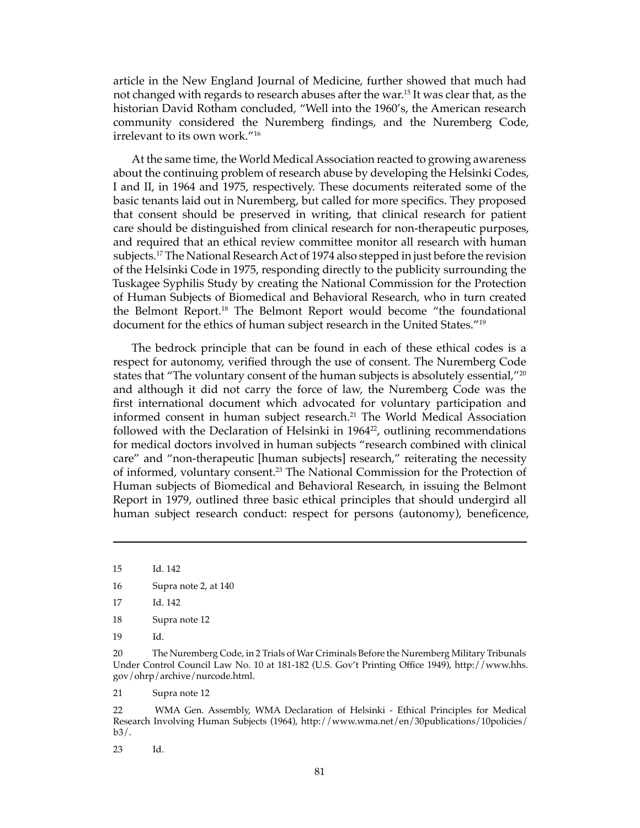article in the New England Journal of Medicine, further showed that much had not changed with regards to research abuses after the war.15 It was clear that, as the historian David Rotham concluded, "Well into the 1960's, the American research community considered the Nuremberg findings, and the Nuremberg Code, irrelevant to its own work."16

At the same time, the World Medical Association reacted to growing awareness about the continuing problem of research abuse by developing the Helsinki Codes, I and II, in 1964 and 1975, respectively. These documents reiterated some of the basic tenants laid out in Nuremberg, but called for more specifics. They proposed that consent should be preserved in writing, that clinical research for patient care should be distinguished from clinical research for non-therapeutic purposes, and required that an ethical review committee monitor all research with human subjects.<sup>17</sup> The National Research Act of 1974 also stepped in just before the revision of the Helsinki Code in 1975, responding directly to the publicity surrounding the Tuskagee Syphilis Study by creating the National Commission for the Protection of Human Subjects of Biomedical and Behavioral Research, who in turn created the Belmont Report.18 The Belmont Report would become "the foundational document for the ethics of human subject research in the United States."<sup>19</sup>

The bedrock principle that can be found in each of these ethical codes is a respect for autonomy, verified through the use of consent. The Nuremberg Code states that "The voluntary consent of the human subjects is absolutely essential,"<sup>20</sup> and although it did not carry the force of law, the Nuremberg Code was the first international document which advocated for voluntary participation and informed consent in human subject research.<sup>21</sup> The World Medical Association followed with the Declaration of Helsinki in  $1964<sup>22</sup>$ , outlining recommendations for medical doctors involved in human subjects "research combined with clinical care" and "non-therapeutic [human subjects] research," reiterating the necessity of informed, voluntary consent.23 The National Commission for the Protection of Human subjects of Biomedical and Behavioral Research, in issuing the Belmont Report in 1979, outlined three basic ethical principles that should undergird all human subject research conduct: respect for persons (autonomy), beneficence,

18 Supra note 12

19 Id.

21 Supra note 12

22 WMA Gen. Assembly, WMA Declaration of Helsinki - Ethical Principles for Medical Research Involving Human Subjects (1964), http://www.wma.net/en/30publications/10policies/  $b3/$ .

23 Id.

<sup>15</sup> Id. 142

<sup>16</sup> Supra note 2, at 140

<sup>17</sup> Id. 142

<sup>20</sup> The Nuremberg Code, in 2 Trials of War Criminals Before the Nuremberg Military Tribunals Under Control Council Law No. 10 at 181-182 (U.S. Gov't Printing Office 1949), http://www.hhs. gov/ohrp/archive/nurcode.html.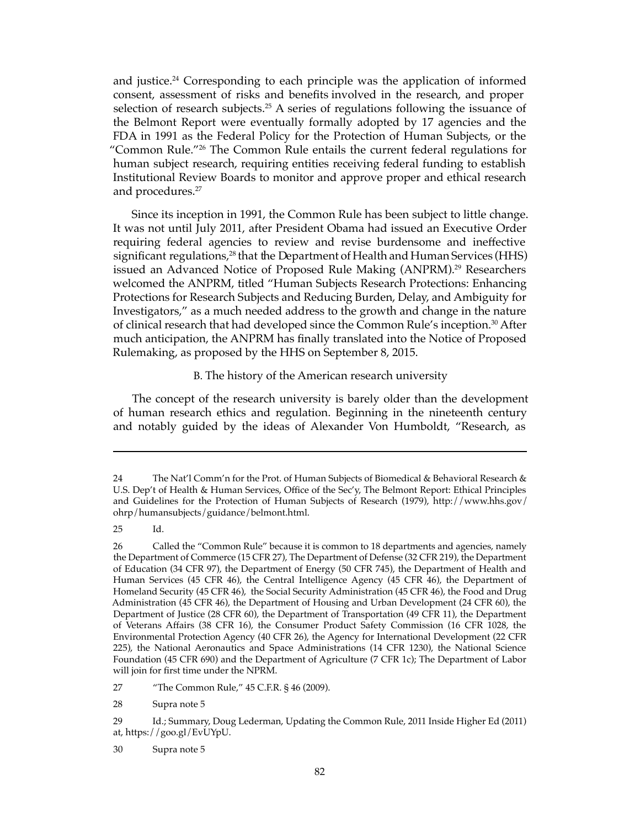and justice.<sup>24</sup> Corresponding to each principle was the application of informed consent, assessment of risks and benefits involved in the research, and proper selection of research subjects.<sup>25</sup> A series of regulations following the issuance of the Belmont Report were eventually formally adopted by 17 agencies and the FDA in 1991 as the Federal Policy for the Protection of Human Subjects, or the "Common Rule."<sup>26</sup> The Common Rule entails the current federal regulations for human subject research, requiring entities receiving federal funding to establish Institutional Review Boards to monitor and approve proper and ethical research and procedures.<sup>27</sup>

Since its inception in 1991, the Common Rule has been subject to little change. It was not until July 2011, after President Obama had issued an Executive Order requiring federal agencies to review and revise burdensome and ineffective significant regulations,<sup>28</sup> that the Department of Health and Human Services (HHS) issued an Advanced Notice of Proposed Rule Making (ANPRM).<sup>29</sup> Researchers welcomed the ANPRM, titled "Human Subjects Research Protections: Enhancing Protections for Research Subjects and Reducing Burden, Delay, and Ambiguity for Investigators," as a much needed address to the growth and change in the nature of clinical research that had developed since the Common Rule's inception.<sup>30</sup> After much anticipation, the ANPRM has finally translated into the Notice of Proposed Rulemaking, as proposed by the HHS on September 8, 2015.

#### B. The history of the American research university

The concept of the research university is barely older than the development of human research ethics and regulation. Beginning in the nineteenth century and notably guided by the ideas of Alexander Von Humboldt, "Research, as

25 Id.

28 Supra note 5

<sup>24</sup> The Nat'l Comm'n for the Prot. of Human Subjects of Biomedical & Behavioral Research & U.S. Dep't of Health & Human Services, Office of the Sec'y, The Belmont Report: Ethical Principles and Guidelines for the Protection of Human Subjects of Research (1979), http://www.hhs.gov/ ohrp/humansubjects/guidance/belmont.html.

<sup>26</sup> Called the "Common Rule" because it is common to 18 departments and agencies, namely the Department of Commerce (15 CFR 27), The Department of Defense (32 CFR 219), the Department of Education (34 CFR 97), the Department of Energy (50 CFR 745), the Department of Health and Human Services (45 CFR 46), the Central Intelligence Agency (45 CFR 46), the Department of Homeland Security (45 CFR 46), the Social Security Administration (45 CFR 46), the Food and Drug Administration (45 CFR 46), the Department of Housing and Urban Development (24 CFR 60), the Department of Justice (28 CFR 60), the Department of Transportation (49 CFR 11), the Department of Veterans Affairs (38 CFR 16), the Consumer Product Safety Commission (16 CFR 1028, the Environmental Protection Agency (40 CFR 26), the Agency for International Development (22 CFR 225), the National Aeronautics and Space Administrations (14 CFR 1230), the National Science Foundation (45 CFR 690) and the Department of Agriculture (7 CFR 1c); The Department of Labor will join for first time under the NPRM.

<sup>27 &</sup>quot;The Common Rule," 45 C.F.R. § 46 (2009).

<sup>29</sup> Id.; Summary, Doug Lederman, Updating the Common Rule, 2011 Inside Higher Ed (2011) at, https://goo.gl/EvUYpU.

<sup>30</sup> Supra note 5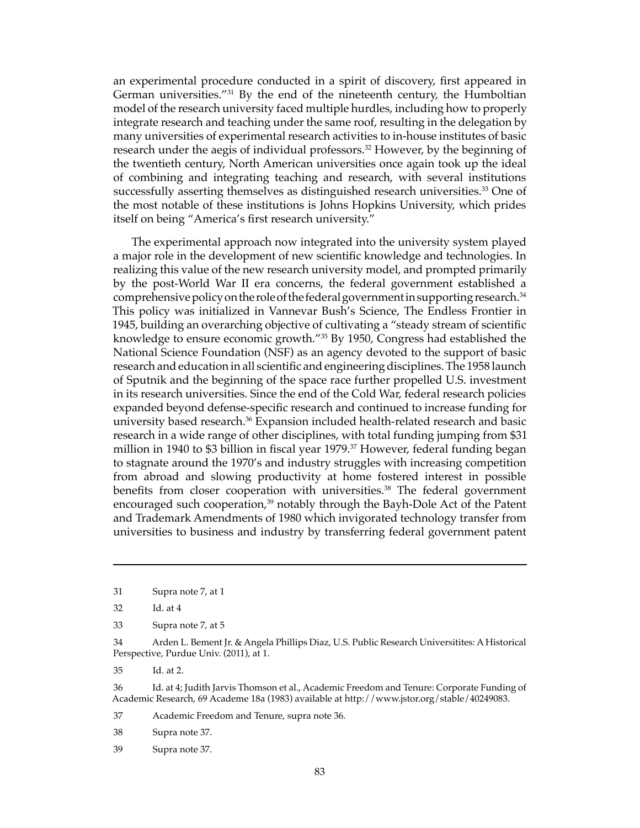an experimental procedure conducted in a spirit of discovery, first appeared in German universities."<sup>31</sup> By the end of the nineteenth century, the Humboltian model of the research university faced multiple hurdles, including how to properly integrate research and teaching under the same roof, resulting in the delegation by many universities of experimental research activities to in-house institutes of basic research under the aegis of individual professors.<sup>32</sup> However, by the beginning of the twentieth century, North American universities once again took up the ideal of combining and integrating teaching and research, with several institutions successfully asserting themselves as distinguished research universities.<sup>33</sup> One of the most notable of these institutions is Johns Hopkins University, which prides itself on being "America's first research university."

The experimental approach now integrated into the university system played a major role in the development of new scientific knowledge and technologies. In realizing this value of the new research university model, and prompted primarily by the post-World War II era concerns, the federal government established a comprehensive policy on the role of the federal government in supporting research.34 This policy was initialized in Vannevar Bush's Science, The Endless Frontier in 1945, building an overarching objective of cultivating a "steady stream of scientific knowledge to ensure economic growth."35 By 1950, Congress had established the National Science Foundation (NSF) as an agency devoted to the support of basic research and education in all scientific and engineering disciplines. The 1958 launch of Sputnik and the beginning of the space race further propelled U.S. investment in its research universities. Since the end of the Cold War, federal research policies expanded beyond defense-specific research and continued to increase funding for university based research.<sup>36</sup> Expansion included health-related research and basic research in a wide range of other disciplines, with total funding jumping from \$31 million in 1940 to \$3 billion in fiscal year 1979.37 However, federal funding began to stagnate around the 1970's and industry struggles with increasing competition from abroad and slowing productivity at home fostered interest in possible benefits from closer cooperation with universities.<sup>38</sup> The federal government encouraged such cooperation,<sup>39</sup> notably through the Bayh-Dole Act of the Patent and Trademark Amendments of 1980 which invigorated technology transfer from universities to business and industry by transferring federal government patent

35 Id. at 2.

36 Id. at 4; Judith Jarvis Thomson et al., Academic Freedom and Tenure: Corporate Funding of Academic Research, 69 Academe 18a (1983) available at http://www.jstor.org/stable/40249083.

37 Academic Freedom and Tenure, supra note 36.

38 Supra note 37.

39 Supra note 37.

<sup>31</sup> Supra note 7, at 1

<sup>32</sup> Id. at 4

<sup>33</sup> Supra note 7, at 5

<sup>34</sup> Arden L. Bement Jr. & Angela Phillips Diaz, U.S. Public Research Universitites: A Historical Perspective, Purdue Univ. (2011), at 1.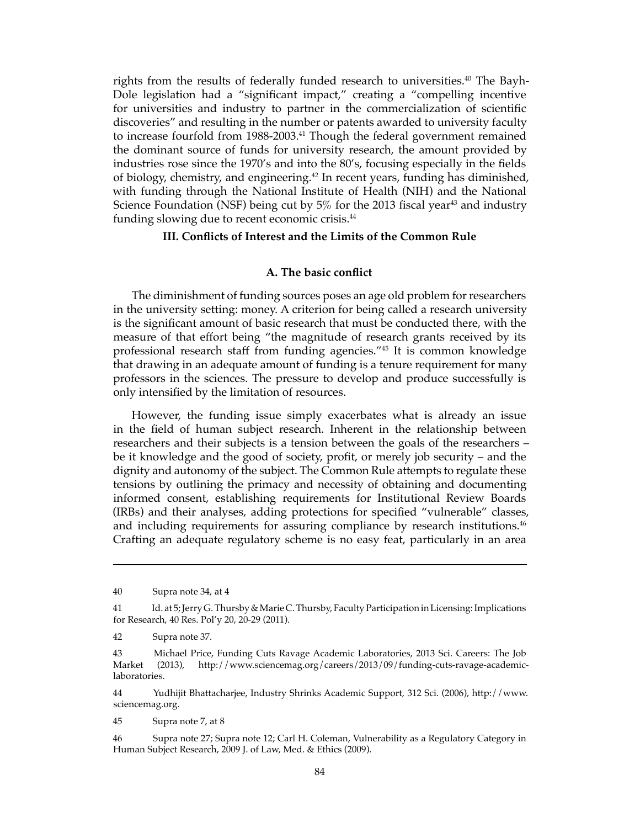rights from the results of federally funded research to universities.<sup>40</sup> The Bayh-Dole legislation had a "significant impact," creating a "compelling incentive for universities and industry to partner in the commercialization of scientific discoveries" and resulting in the number or patents awarded to university faculty to increase fourfold from 1988-2003.<sup>41</sup> Though the federal government remained the dominant source of funds for university research, the amount provided by industries rose since the 1970's and into the 80's, focusing especially in the fields of biology, chemistry, and engineering.<sup>42</sup> In recent years, funding has diminished, with funding through the National Institute of Health (NIH) and the National Science Foundation (NSF) being cut by  $5\%$  for the 2013 fiscal year<sup>43</sup> and industry funding slowing due to recent economic crisis.<sup>44</sup>

#### **III. Conflicts of Interest and the Limits of the Common Rule**

### **A. The basic conflict**

The diminishment of funding sources poses an age old problem for researchers in the university setting: money. A criterion for being called a research university is the significant amount of basic research that must be conducted there, with the measure of that effort being "the magnitude of research grants received by its professional research staff from funding agencies."45 It is common knowledge that drawing in an adequate amount of funding is a tenure requirement for many professors in the sciences. The pressure to develop and produce successfully is only intensified by the limitation of resources.

However, the funding issue simply exacerbates what is already an issue in the field of human subject research. Inherent in the relationship between researchers and their subjects is a tension between the goals of the researchers – be it knowledge and the good of society, profit, or merely job security – and the dignity and autonomy of the subject. The Common Rule attempts to regulate these tensions by outlining the primacy and necessity of obtaining and documenting informed consent, establishing requirements for Institutional Review Boards (IRBs) and their analyses, adding protections for specified "vulnerable" classes, and including requirements for assuring compliance by research institutions.<sup>46</sup> Crafting an adequate regulatory scheme is no easy feat, particularly in an area

44 Yudhijit Bhattacharjee, Industry Shrinks Academic Support, 312 Sci. (2006), http://www. sciencemag.org.

45 Supra note 7, at 8

<sup>40</sup> Supra note 34, at 4

<sup>41</sup> Id. at 5; Jerry G. Thursby & Marie C. Thursby, Faculty Participation in Licensing: Implications for Research, 40 Res. Pol'y 20, 20-29 (2011).

<sup>42</sup> Supra note 37.

<sup>43</sup> Michael Price, Funding Cuts Ravage Academic Laboratories, 2013 Sci. Careers: The Job Market (2013), http://www.sciencemag.org/careers/2013/09/funding-cuts-ravage-academiclaboratories.

<sup>46</sup> Supra note 27; Supra note 12; Carl H. Coleman, Vulnerability as a Regulatory Category in Human Subject Research, 2009 J. of Law, Med. & Ethics (2009).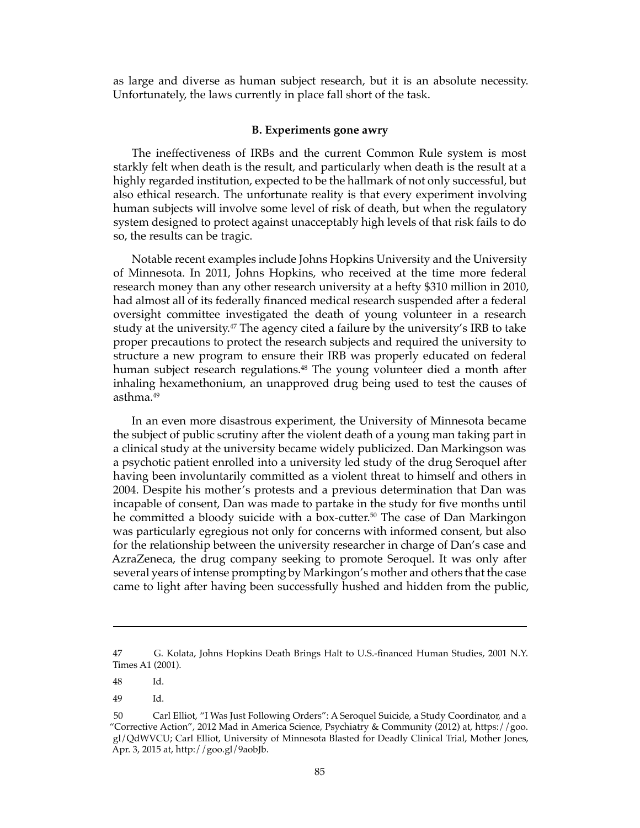as large and diverse as human subject research, but it is an absolute necessity. Unfortunately, the laws currently in place fall short of the task.

#### **B. Experiments gone awry**

The ineffectiveness of IRBs and the current Common Rule system is most starkly felt when death is the result, and particularly when death is the result at a highly regarded institution, expected to be the hallmark of not only successful, but also ethical research. The unfortunate reality is that every experiment involving human subjects will involve some level of risk of death, but when the regulatory system designed to protect against unacceptably high levels of that risk fails to do so, the results can be tragic.

Notable recent examples include Johns Hopkins University and the University of Minnesota. In 2011, Johns Hopkins, who received at the time more federal research money than any other research university at a hefty \$310 million in 2010, had almost all of its federally financed medical research suspended after a federal oversight committee investigated the death of young volunteer in a research study at the university.<sup>47</sup> The agency cited a failure by the university's IRB to take proper precautions to protect the research subjects and required the university to structure a new program to ensure their IRB was properly educated on federal human subject research regulations.<sup>48</sup> The young volunteer died a month after inhaling hexamethonium, an unapproved drug being used to test the causes of asthma.49

In an even more disastrous experiment, the University of Minnesota became the subject of public scrutiny after the violent death of a young man taking part in a clinical study at the university became widely publicized. Dan Markingson was a psychotic patient enrolled into a university led study of the drug Seroquel after having been involuntarily committed as a violent threat to himself and others in 2004. Despite his mother's protests and a previous determination that Dan was incapable of consent, Dan was made to partake in the study for five months until he committed a bloody suicide with a box-cutter.<sup>50</sup> The case of Dan Markingon was particularly egregious not only for concerns with informed consent, but also for the relationship between the university researcher in charge of Dan's case and AzraZeneca, the drug company seeking to promote Seroquel. It was only after several years of intense prompting by Markingon's mother and others that the case came to light after having been successfully hushed and hidden from the public,

48 Id.

<sup>47</sup> G. Kolata, Johns Hopkins Death Brings Halt to U.S.-financed Human Studies, 2001 N.Y. Times A1 (2001).

<sup>49</sup> Id.

<sup>50</sup> Carl Elliot, "I Was Just Following Orders": A Seroquel Suicide, a Study Coordinator, and a "Corrective Action", 2012 Mad in America Science, Psychiatry & Community (2012) at, https://goo. gl/QdWVCU; Carl Elliot, University of Minnesota Blasted for Deadly Clinical Trial, Mother Jones, Apr. 3, 2015 at, http://goo.gl/9aobJb.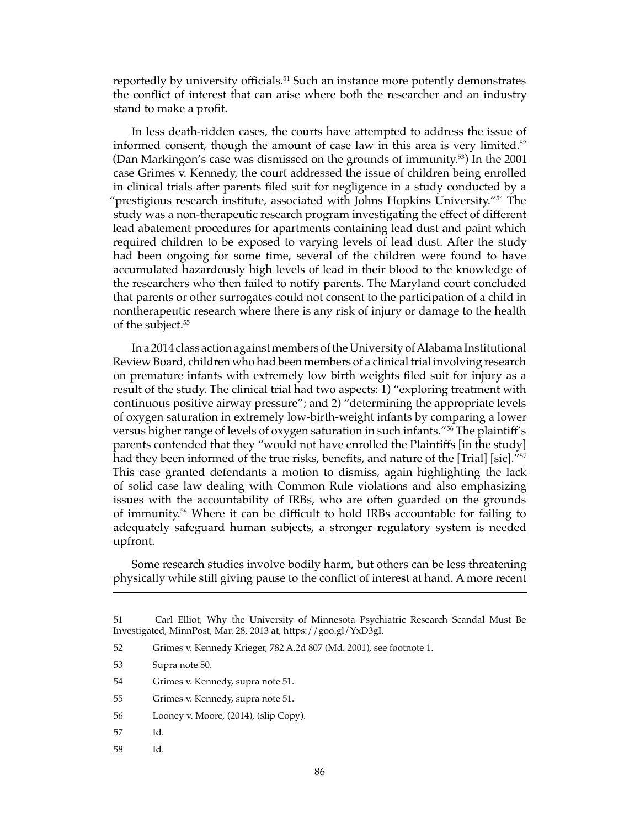reportedly by university officials.<sup>51</sup> Such an instance more potently demonstrates the conflict of interest that can arise where both the researcher and an industry stand to make a profit.

In less death-ridden cases, the courts have attempted to address the issue of informed consent, though the amount of case law in this area is very limited. $52$ (Dan Markingon's case was dismissed on the grounds of immunity.53) In the 2001 case Grimes v. Kennedy, the court addressed the issue of children being enrolled in clinical trials after parents filed suit for negligence in a study conducted by a "prestigious research institute, associated with Johns Hopkins University."54 The study was a non-therapeutic research program investigating the effect of different lead abatement procedures for apartments containing lead dust and paint which required children to be exposed to varying levels of lead dust. After the study had been ongoing for some time, several of the children were found to have accumulated hazardously high levels of lead in their blood to the knowledge of the researchers who then failed to notify parents. The Maryland court concluded that parents or other surrogates could not consent to the participation of a child in nontherapeutic research where there is any risk of injury or damage to the health of the subject.<sup>55</sup>

In a 2014 class action against members of the University of Alabama Institutional Review Board, children who had been members of a clinical trial involving research on premature infants with extremely low birth weights filed suit for injury as a result of the study. The clinical trial had two aspects: 1) "exploring treatment with continuous positive airway pressure"; and 2) "determining the appropriate levels of oxygen saturation in extremely low-birth-weight infants by comparing a lower versus higher range of levels of oxygen saturation in such infants."56 The plaintiff's parents contended that they "would not have enrolled the Plaintiffs [in the study] had they been informed of the true risks, benefits, and nature of the [Trial] [sic]."<sup>57</sup> This case granted defendants a motion to dismiss, again highlighting the lack of solid case law dealing with Common Rule violations and also emphasizing issues with the accountability of IRBs, who are often guarded on the grounds of immunity.58 Where it can be difficult to hold IRBs accountable for failing to adequately safeguard human subjects, a stronger regulatory system is needed upfront.

Some research studies involve bodily harm, but others can be less threatening physically while still giving pause to the conflict of interest at hand. A more recent

52 Grimes v. Kennedy Krieger, 782 A.2d 807 (Md. 2001), see footnote 1.

- 54 Grimes v. Kennedy, supra note 51.
- 55 Grimes v. Kennedy, supra note 51.
- 56 Looney v. Moore, (2014), (slip Copy).
- 57 Id.
- 58 Id.

<sup>51</sup> Carl Elliot, Why the University of Minnesota Psychiatric Research Scandal Must Be Investigated, MinnPost, Mar. 28, 2013 at, https://goo.gl/YxD3gI.

<sup>53</sup> Supra note 50.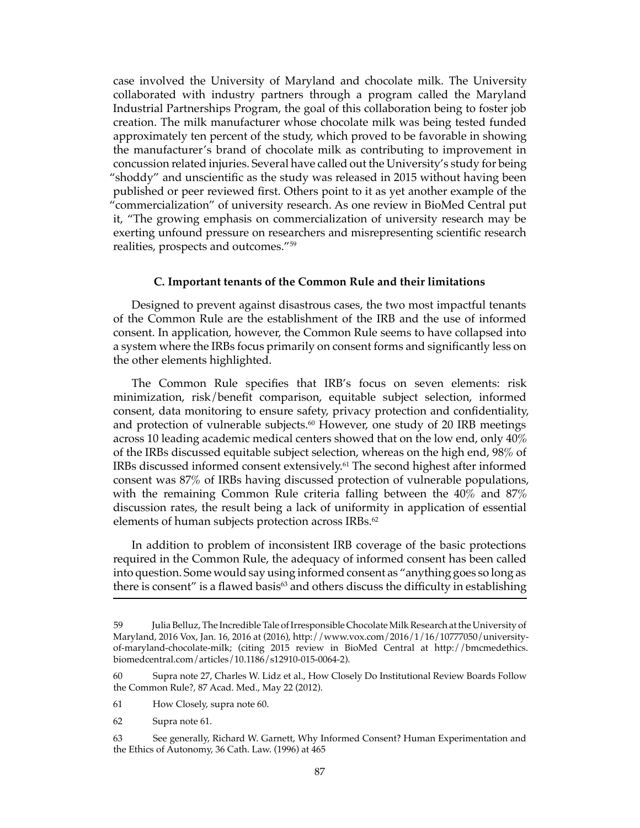case involved the University of Maryland and chocolate milk. The University collaborated with industry partners through a program called the Maryland Industrial Partnerships Program, the goal of this collaboration being to foster job creation. The milk manufacturer whose chocolate milk was being tested funded approximately ten percent of the study, which proved to be favorable in showing the manufacturer's brand of chocolate milk as contributing to improvement in concussion related injuries. Several have called out the University's study for being "shoddy" and unscientific as the study was released in 2015 without having been published or peer reviewed first. Others point to it as yet another example of the "commercialization" of university research. As one review in BioMed Central put it, "The growing emphasis on commercialization of university research may be exerting unfound pressure on researchers and misrepresenting scientific research realities, prospects and outcomes."59

### **C. Important tenants of the Common Rule and their limitations**

Designed to prevent against disastrous cases, the two most impactful tenants of the Common Rule are the establishment of the IRB and the use of informed consent. In application, however, the Common Rule seems to have collapsed into a system where the IRBs focus primarily on consent forms and significantly less on the other elements highlighted.

The Common Rule specifies that IRB's focus on seven elements: risk minimization, risk/benefit comparison, equitable subject selection, informed consent, data monitoring to ensure safety, privacy protection and confidentiality, and protection of vulnerable subjects.<sup>60</sup> However, one study of 20 IRB meetings across 10 leading academic medical centers showed that on the low end, only 40% of the IRBs discussed equitable subject selection, whereas on the high end, 98% of IRBs discussed informed consent extensively.<sup>61</sup> The second highest after informed consent was 87% of IRBs having discussed protection of vulnerable populations, with the remaining Common Rule criteria falling between the 40% and 87% discussion rates, the result being a lack of uniformity in application of essential elements of human subjects protection across IRBs.<sup>62</sup>

In addition to problem of inconsistent IRB coverage of the basic protections required in the Common Rule, the adequacy of informed consent has been called into question. Some would say using informed consent as "anything goes so long as there is consent" is a flawed basis<sup>63</sup> and others discuss the difficulty in establishing

<sup>59</sup> Julia Belluz, The Incredible Tale of Irresponsible Chocolate Milk Research at the University of Maryland, 2016 Vox, Jan. 16, 2016 at (2016), http://www.vox.com/2016/1/16/10777050/universityof-maryland-chocolate-milk; (citing 2015 review in BioMed Central at http://bmcmedethics. biomedcentral.com/articles/10.1186/s12910-015-0064-2).

<sup>60</sup> Supra note 27, Charles W. Lidz et al., How Closely Do Institutional Review Boards Follow the Common Rule?, 87 Acad. Med., May 22 (2012).

<sup>61</sup> How Closely, supra note 60.

<sup>62</sup> Supra note 61.

<sup>63</sup> See generally, Richard W. Garnett, Why Informed Consent? Human Experimentation and the Ethics of Autonomy, 36 Cath. Law. (1996) at 465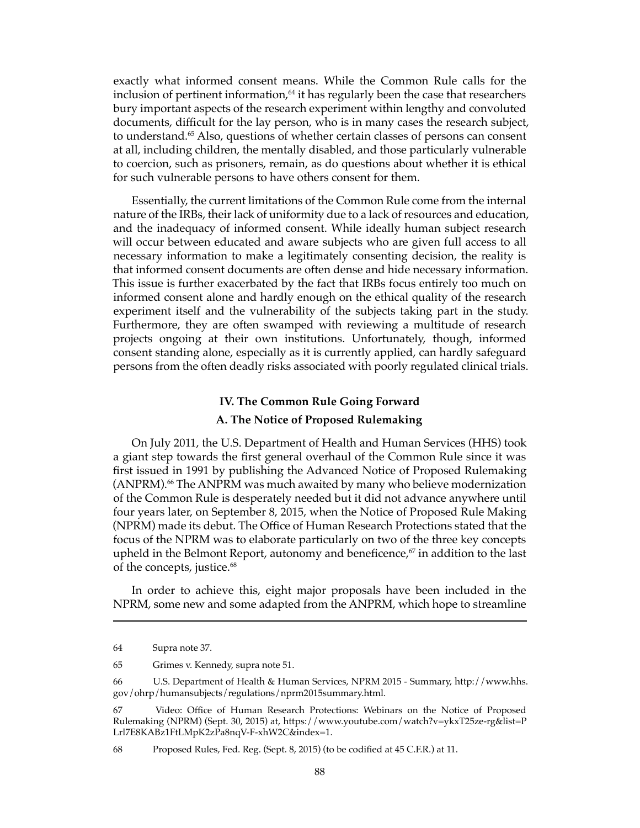exactly what informed consent means. While the Common Rule calls for the inclusion of pertinent information, $64$  it has regularly been the case that researchers bury important aspects of the research experiment within lengthy and convoluted documents, difficult for the lay person, who is in many cases the research subject, to understand.65 Also, questions of whether certain classes of persons can consent at all, including children, the mentally disabled, and those particularly vulnerable to coercion, such as prisoners, remain, as do questions about whether it is ethical for such vulnerable persons to have others consent for them.

Essentially, the current limitations of the Common Rule come from the internal nature of the IRBs, their lack of uniformity due to a lack of resources and education, and the inadequacy of informed consent. While ideally human subject research will occur between educated and aware subjects who are given full access to all necessary information to make a legitimately consenting decision, the reality is that informed consent documents are often dense and hide necessary information. This issue is further exacerbated by the fact that IRBs focus entirely too much on informed consent alone and hardly enough on the ethical quality of the research experiment itself and the vulnerability of the subjects taking part in the study. Furthermore, they are often swamped with reviewing a multitude of research projects ongoing at their own institutions. Unfortunately, though, informed consent standing alone, especially as it is currently applied, can hardly safeguard persons from the often deadly risks associated with poorly regulated clinical trials.

# **IV. The Common Rule Going Forward A. The Notice of Proposed Rulemaking**

On July 2011, the U.S. Department of Health and Human Services (HHS) took a giant step towards the first general overhaul of the Common Rule since it was first issued in 1991 by publishing the Advanced Notice of Proposed Rulemaking (ANPRM).<sup>66</sup> The ANPRM was much awaited by many who believe modernization of the Common Rule is desperately needed but it did not advance anywhere until four years later, on September 8, 2015, when the Notice of Proposed Rule Making (NPRM) made its debut. The Office of Human Research Protections stated that the focus of the NPRM was to elaborate particularly on two of the three key concepts upheld in the Belmont Report, autonomy and beneficence, $67$  in addition to the last of the concepts, justice.<sup>68</sup>

In order to achieve this, eight major proposals have been included in the NPRM, some new and some adapted from the ANPRM, which hope to streamline

<sup>64</sup> Supra note 37.

<sup>65</sup> Grimes v. Kennedy, supra note 51.

<sup>66</sup> U.S. Department of Health & Human Services, NPRM 2015 - Summary, http://www.hhs. gov/ohrp/humansubjects/regulations/nprm2015summary.html.

<sup>67</sup> Video: Office of Human Research Protections: Webinars on the Notice of Proposed Rulemaking (NPRM) (Sept. 30, 2015) at, https://www.youtube.com/watch?v=ykxT25ze-rg&list=P Lrl7E8KABz1FtLMpK2zPa8nqV-F-xhW2C&index=1.

<sup>68</sup> Proposed Rules, Fed. Reg. (Sept. 8, 2015) (to be codified at 45 C.F.R.) at 11.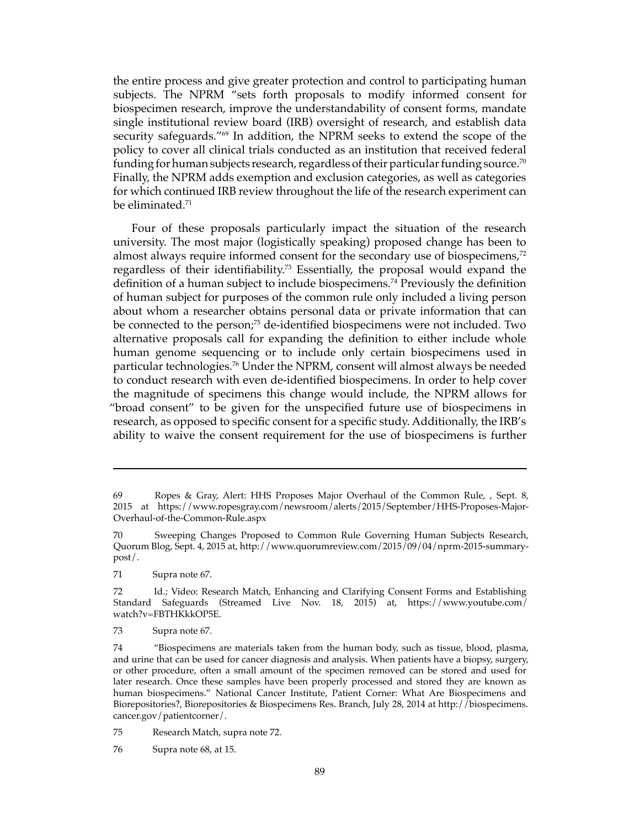the entire process and give greater protection and control to participating human subjects. The NPRM "sets forth proposals to modify informed consent for biospecimen research, improve the understandability of consent forms, mandate single institutional review board (IRB) oversight of research, and establish data security safeguards."<sup>69</sup> In addition, the NPRM seeks to extend the scope of the policy to cover all clinical trials conducted as an institution that received federal funding for human subjects research, regardless of their particular funding source.<sup>70</sup> Finally, the NPRM adds exemption and exclusion categories, as well as categories for which continued IRB review throughout the life of the research experiment can be eliminated.71

Four of these proposals particularly impact the situation of the research university. The most major (logistically speaking) proposed change has been to almost always require informed consent for the secondary use of biospecimens,<sup>72</sup> regardless of their identifiability.<sup>73</sup> Essentially, the proposal would expand the definition of a human subject to include biospecimens.<sup>74</sup> Previously the definition of human subject for purposes of the common rule only included a living person about whom a researcher obtains personal data or private information that can be connected to the person;<sup>75</sup> de-identified biospecimens were not included. Two alternative proposals call for expanding the definition to either include whole human genome sequencing or to include only certain biospecimens used in particular technologies.76 Under the NPRM, consent will almost always be needed to conduct research with even de-identified biospecimens. In order to help cover the magnitude of specimens this change would include, the NPRM allows for "broad consent" to be given for the unspecified future use of biospecimens in research, as opposed to specific consent for a specific study. Additionally, the IRB's ability to waive the consent requirement for the use of biospecimens is further

<sup>69</sup> Ropes & Gray, Alert: HHS Proposes Major Overhaul of the Common Rule, , Sept. 8, 2015 at https://www.ropesgray.com/newsroom/alerts/2015/September/HHS-Proposes-Major-Overhaul-of-the-Common-Rule.aspx

<sup>70</sup> Sweeping Changes Proposed to Common Rule Governing Human Subjects Research, Quorum Blog, Sept. 4, 2015 at, http://www.quorumreview.com/2015/09/04/nprm-2015-summarypost/.

<sup>71</sup> Supra note 67.

<sup>72</sup> Id.; Video: Research Match, Enhancing and Clarifying Consent Forms and Establishing Standard Safeguards (Streamed Live Nov. 18, 2015) at, https://www.youtube.com/ watch?v=FBTHKkkOP5E.

<sup>73</sup> Supra note 67.

<sup>74 &</sup>quot;Biospecimens are materials taken from the human body, such as tissue, blood, plasma, and urine that can be used for cancer diagnosis and analysis. When patients have a biopsy, surgery, or other procedure, often a small amount of the specimen removed can be stored and used for later research. Once these samples have been properly processed and stored they are known as human biospecimens." National Cancer Institute, Patient Corner: What Are Biospecimens and Biorepositories?, Biorepositories & Biospecimens Res. Branch, July 28, 2014 at http://biospecimens. cancer.gov/patientcorner/.

<sup>75</sup> Research Match, supra note 72.

<sup>76</sup> Supra note 68, at 15.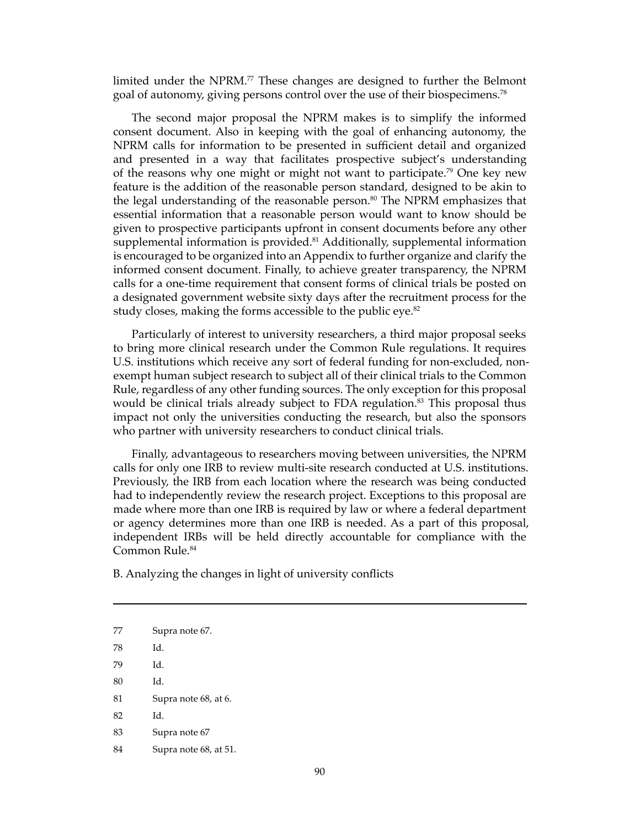limited under the NPRM.<sup>77</sup> These changes are designed to further the Belmont goal of autonomy, giving persons control over the use of their biospecimens.78

The second major proposal the NPRM makes is to simplify the informed consent document. Also in keeping with the goal of enhancing autonomy, the NPRM calls for information to be presented in sufficient detail and organized and presented in a way that facilitates prospective subject's understanding of the reasons why one might or might not want to participate.79 One key new feature is the addition of the reasonable person standard, designed to be akin to the legal understanding of the reasonable person.<sup>80</sup> The NPRM emphasizes that essential information that a reasonable person would want to know should be given to prospective participants upfront in consent documents before any other supplemental information is provided.<sup>81</sup> Additionally, supplemental information is encouraged to be organized into an Appendix to further organize and clarify the informed consent document. Finally, to achieve greater transparency, the NPRM calls for a one-time requirement that consent forms of clinical trials be posted on a designated government website sixty days after the recruitment process for the study closes, making the forms accessible to the public eye.<sup>82</sup>

Particularly of interest to university researchers, a third major proposal seeks to bring more clinical research under the Common Rule regulations. It requires U.S. institutions which receive any sort of federal funding for non-excluded, nonexempt human subject research to subject all of their clinical trials to the Common Rule, regardless of any other funding sources. The only exception for this proposal would be clinical trials already subject to FDA regulation.<sup>83</sup> This proposal thus impact not only the universities conducting the research, but also the sponsors who partner with university researchers to conduct clinical trials.

Finally, advantageous to researchers moving between universities, the NPRM calls for only one IRB to review multi-site research conducted at U.S. institutions. Previously, the IRB from each location where the research was being conducted had to independently review the research project. Exceptions to this proposal are made where more than one IRB is required by law or where a federal department or agency determines more than one IRB is needed. As a part of this proposal, independent IRBs will be held directly accountable for compliance with the Common Rule.<sup>84</sup>

B. Analyzing the changes in light of university conflicts

- 80 Id.
- 81 Supra note 68, at 6.
- 82 Id.
- 83 Supra note 67
- 84 Supra note 68, at 51.

<sup>77</sup> Supra note 67.

<sup>78</sup> Id.

<sup>79</sup> Id.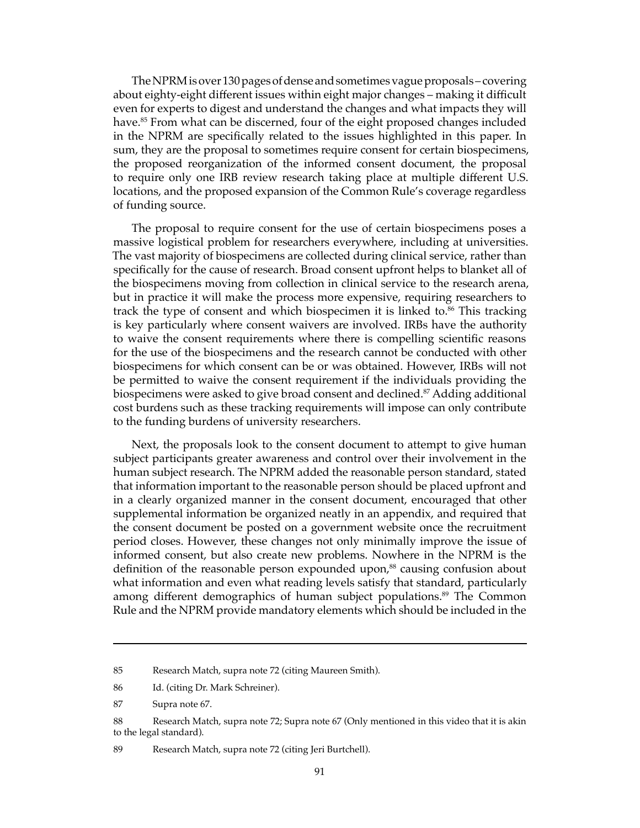The NPRM is over 130 pages of dense and sometimes vague proposals – covering about eighty-eight different issues within eight major changes – making it difficult even for experts to digest and understand the changes and what impacts they will have.<sup>85</sup> From what can be discerned, four of the eight proposed changes included in the NPRM are specifically related to the issues highlighted in this paper. In sum, they are the proposal to sometimes require consent for certain biospecimens, the proposed reorganization of the informed consent document, the proposal to require only one IRB review research taking place at multiple different U.S. locations, and the proposed expansion of the Common Rule's coverage regardless of funding source.

The proposal to require consent for the use of certain biospecimens poses a massive logistical problem for researchers everywhere, including at universities. The vast majority of biospecimens are collected during clinical service, rather than specifically for the cause of research. Broad consent upfront helps to blanket all of the biospecimens moving from collection in clinical service to the research arena, but in practice it will make the process more expensive, requiring researchers to track the type of consent and which biospecimen it is linked to.<sup>86</sup> This tracking is key particularly where consent waivers are involved. IRBs have the authority to waive the consent requirements where there is compelling scientific reasons for the use of the biospecimens and the research cannot be conducted with other biospecimens for which consent can be or was obtained. However, IRBs will not be permitted to waive the consent requirement if the individuals providing the biospecimens were asked to give broad consent and declined.<sup>87</sup> Adding additional cost burdens such as these tracking requirements will impose can only contribute to the funding burdens of university researchers.

Next, the proposals look to the consent document to attempt to give human subject participants greater awareness and control over their involvement in the human subject research. The NPRM added the reasonable person standard, stated that information important to the reasonable person should be placed upfront and in a clearly organized manner in the consent document, encouraged that other supplemental information be organized neatly in an appendix, and required that the consent document be posted on a government website once the recruitment period closes. However, these changes not only minimally improve the issue of informed consent, but also create new problems. Nowhere in the NPRM is the definition of the reasonable person expounded upon,<sup>88</sup> causing confusion about what information and even what reading levels satisfy that standard, particularly among different demographics of human subject populations.<sup>89</sup> The Common Rule and the NPRM provide mandatory elements which should be included in the

<sup>85</sup> Research Match, supra note 72 (citing Maureen Smith).

<sup>86</sup> Id. (citing Dr. Mark Schreiner).

<sup>87</sup> Supra note 67.

<sup>88</sup> Research Match, supra note 72; Supra note 67 (Only mentioned in this video that it is akin to the legal standard).

<sup>89</sup> Research Match, supra note 72 (citing Jeri Burtchell).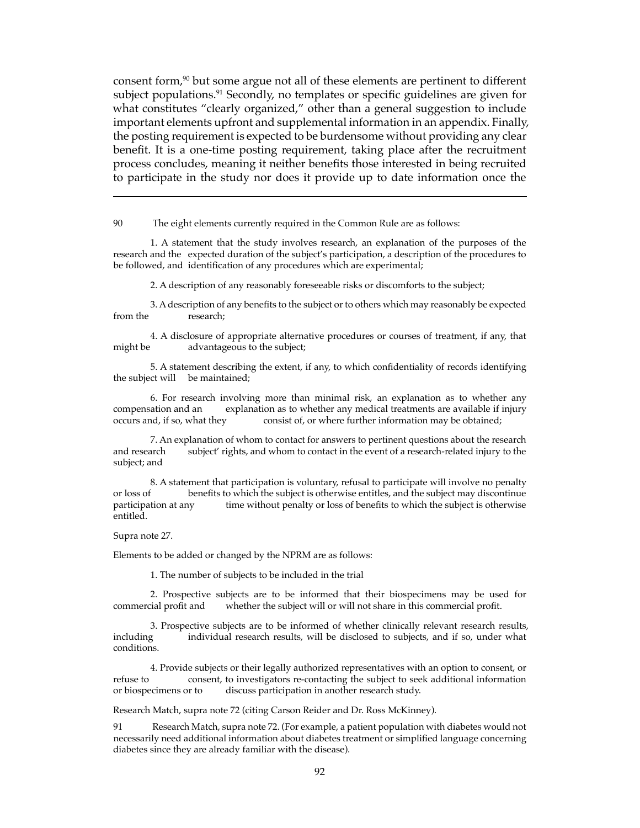consent form,<sup>90</sup> but some argue not all of these elements are pertinent to different subject populations.<sup>91</sup> Secondly, no templates or specific guidelines are given for what constitutes "clearly organized," other than a general suggestion to include important elements upfront and supplemental information in an appendix. Finally, the posting requirement is expected to be burdensome without providing any clear benefit. It is a one-time posting requirement, taking place after the recruitment process concludes, meaning it neither benefits those interested in being recruited to participate in the study nor does it provide up to date information once the

90 The eight elements currently required in the Common Rule are as follows:

1. A statement that the study involves research, an explanation of the purposes of the research and the expected duration of the subject's participation, a description of the procedures to be followed, and identification of any procedures which are experimental;

2. A description of any reasonably foreseeable risks or discomforts to the subject;

3. A description of any benefits to the subject or to others which may reasonably be expected from the research;

4. A disclosure of appropriate alternative procedures or courses of treatment, if any, that might be advantageous to the subject;

5. A statement describing the extent, if any, to which confidentiality of records identifying the subject will be maintained;

6. For research involving more than minimal risk, an explanation as to whether any compensation and an explanation as to whether any medical treatments are available if injury occurs and, if so, what they consist of, or where further information may be obtained; consist of, or where further information may be obtained;

7. An explanation of whom to contact for answers to pertinent questions about the research subject' rights, and whom to contact in the event of a research-related injury to the subject; and

8. A statement that participation is voluntary, refusal to participate will involve no penalty or loss of benefits to which the subject is otherwise entitles, and the subject may discontinue participation at any time without penalty or loss of benefits to which the subject is otherwise entitled.

Supra note 27.

Elements to be added or changed by the NPRM are as follows:

1. The number of subjects to be included in the trial

2. Prospective subjects are to be informed that their biospecimens may be used for commercial profit and whether the subject will or will not share in this commercial profit.

3. Prospective subjects are to be informed of whether clinically relevant research results, including individual research results, will be disclosed to subjects, and if so, under what individual research results, will be disclosed to subjects, and if so, under what conditions.

4. Provide subjects or their legally authorized representatives with an option to consent, or refuse to consent, to investigators re-contacting the subject to seek additional information or biospecimens or to discuss participation in another research study.

Research Match, supra note 72 (citing Carson Reider and Dr. Ross McKinney).

91 Research Match, supra note 72. (For example, a patient population with diabetes would not necessarily need additional information about diabetes treatment or simplified language concerning diabetes since they are already familiar with the disease).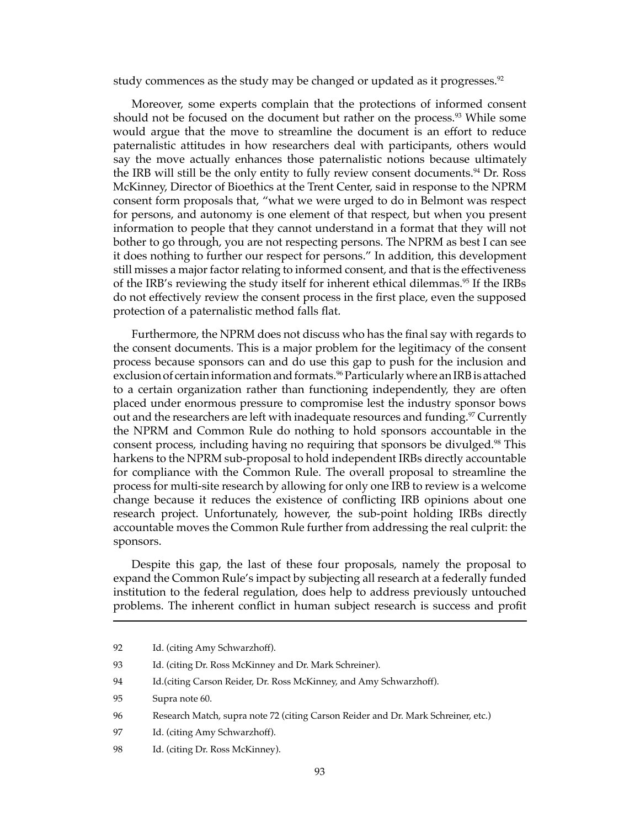study commences as the study may be changed or updated as it progresses.<sup>92</sup>

Moreover, some experts complain that the protections of informed consent should not be focused on the document but rather on the process.<sup>93</sup> While some would argue that the move to streamline the document is an effort to reduce paternalistic attitudes in how researchers deal with participants, others would say the move actually enhances those paternalistic notions because ultimately the IRB will still be the only entity to fully review consent documents.94 Dr. Ross McKinney, Director of Bioethics at the Trent Center, said in response to the NPRM consent form proposals that, "what we were urged to do in Belmont was respect for persons, and autonomy is one element of that respect, but when you present information to people that they cannot understand in a format that they will not bother to go through, you are not respecting persons. The NPRM as best I can see it does nothing to further our respect for persons." In addition, this development still misses a major factor relating to informed consent, and that is the effectiveness of the IRB's reviewing the study itself for inherent ethical dilemmas.95 If the IRBs do not effectively review the consent process in the first place, even the supposed protection of a paternalistic method falls flat.

Furthermore, the NPRM does not discuss who has the final say with regards to the consent documents. This is a major problem for the legitimacy of the consent process because sponsors can and do use this gap to push for the inclusion and exclusion of certain information and formats.<sup>96</sup> Particularly where an IRB is attached to a certain organization rather than functioning independently, they are often placed under enormous pressure to compromise lest the industry sponsor bows out and the researchers are left with inadequate resources and funding.<sup>97</sup> Currently the NPRM and Common Rule do nothing to hold sponsors accountable in the consent process, including having no requiring that sponsors be divulged.<sup>98</sup> This harkens to the NPRM sub-proposal to hold independent IRBs directly accountable for compliance with the Common Rule. The overall proposal to streamline the process for multi-site research by allowing for only one IRB to review is a welcome change because it reduces the existence of conflicting IRB opinions about one research project. Unfortunately, however, the sub-point holding IRBs directly accountable moves the Common Rule further from addressing the real culprit: the sponsors.

Despite this gap, the last of these four proposals, namely the proposal to expand the Common Rule's impact by subjecting all research at a federally funded institution to the federal regulation, does help to address previously untouched problems. The inherent conflict in human subject research is success and profit

- 94 Id.(citing Carson Reider, Dr. Ross McKinney, and Amy Schwarzhoff).
- 95 Supra note 60.
- 96 Research Match, supra note 72 (citing Carson Reider and Dr. Mark Schreiner, etc.)
- 97 Id. (citing Amy Schwarzhoff).
- 98 Id. (citing Dr. Ross McKinney).

<sup>92</sup> Id. (citing Amy Schwarzhoff).

<sup>93</sup> Id. (citing Dr. Ross McKinney and Dr. Mark Schreiner).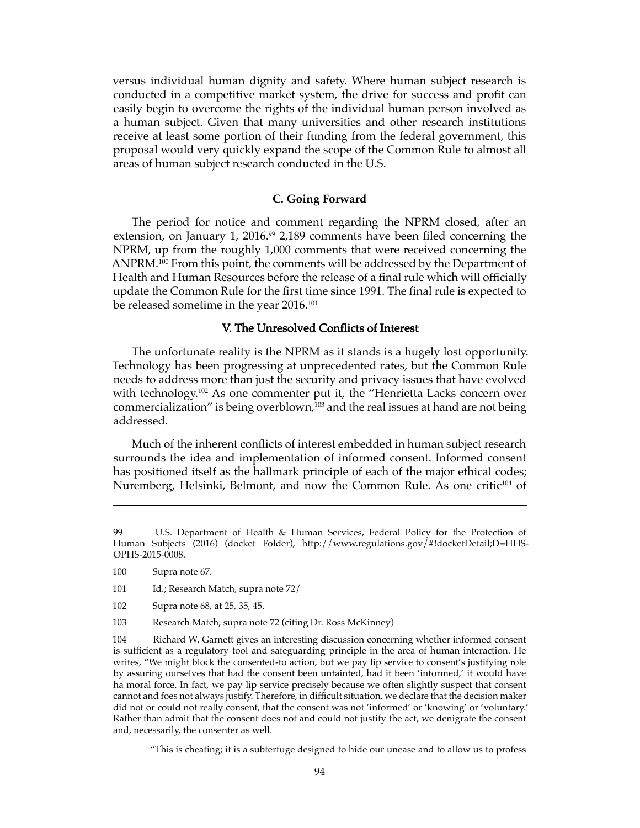versus individual human dignity and safety. Where human subject research is conducted in a competitive market system, the drive for success and profit can easily begin to overcome the rights of the individual human person involved as a human subject. Given that many universities and other research institutions receive at least some portion of their funding from the federal government, this proposal would very quickly expand the scope of the Common Rule to almost all areas of human subject research conducted in the U.S.

#### **C. Going Forward**

The period for notice and comment regarding the NPRM closed, after an extension, on January 1, 2016.<sup>99</sup> 2,189 comments have been filed concerning the NPRM, up from the roughly 1,000 comments that were received concerning the ANPRM.100 From this point, the comments will be addressed by the Department of Health and Human Resources before the release of a final rule which will officially update the Common Rule for the first time since 1991. The final rule is expected to be released sometime in the year 2016.<sup>101</sup>

# V. The Unresolved Conflicts of Interest

The unfortunate reality is the NPRM as it stands is a hugely lost opportunity. Technology has been progressing at unprecedented rates, but the Common Rule needs to address more than just the security and privacy issues that have evolved with technology.<sup>102</sup> As one commenter put it, the "Henrietta Lacks concern over commercialization" is being overblown,<sup>103</sup> and the real issues at hand are not being addressed.

Much of the inherent conflicts of interest embedded in human subject research surrounds the idea and implementation of informed consent. Informed consent has positioned itself as the hallmark principle of each of the major ethical codes; Nuremberg, Helsinki, Belmont, and now the Common Rule. As one critic<sup>104</sup> of

- 101 Id.; Research Match, supra note 72/
- 102 Supra note 68, at 25, 35, 45.
- 103 Research Match, supra note 72 (citing Dr. Ross McKinney)

104 Richard W. Garnett gives an interesting discussion concerning whether informed consent is sufficient as a regulatory tool and safeguarding principle in the area of human interaction. He writes, "We might block the consented-to action, but we pay lip service to consent's justifying role by assuring ourselves that had the consent been untainted, had it been 'informed,' it would have ha moral force. In fact, we pay lip service precisely because we often slightly suspect that consent cannot and foes not always justify. Therefore, in difficult situation, we declare that the decision maker did not or could not really consent, that the consent was not 'informed' or 'knowing' or 'voluntary.' Rather than admit that the consent does not and could not justify the act, we denigrate the consent and, necessarily, the consenter as well.

"This is cheating; it is a subterfuge designed to hide our unease and to allow us to profess

<sup>99</sup> U.S. Department of Health & Human Services, Federal Policy for the Protection of Human Subjects (2016) (docket Folder), http://www.regulations.gov/#!docketDetail;D=HHS-OPHS-2015-0008.

<sup>100</sup> Supra note 67.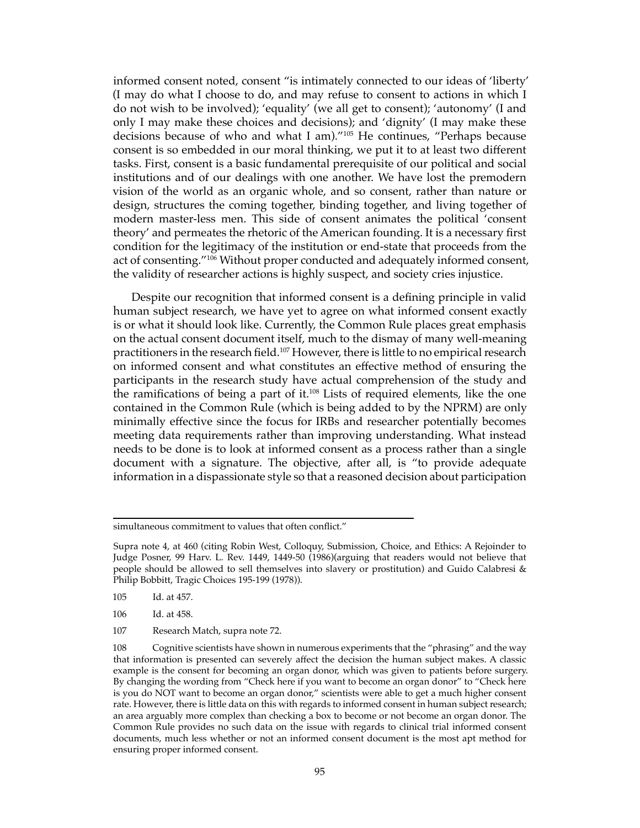informed consent noted, consent "is intimately connected to our ideas of 'liberty' (I may do what I choose to do, and may refuse to consent to actions in which I do not wish to be involved); 'equality' (we all get to consent); 'autonomy' (I and only I may make these choices and decisions); and 'dignity' (I may make these decisions because of who and what I am)."105 He continues, "Perhaps because consent is so embedded in our moral thinking, we put it to at least two different tasks. First, consent is a basic fundamental prerequisite of our political and social institutions and of our dealings with one another. We have lost the premodern vision of the world as an organic whole, and so consent, rather than nature or design, structures the coming together, binding together, and living together of modern master-less men. This side of consent animates the political 'consent theory' and permeates the rhetoric of the American founding. It is a necessary first condition for the legitimacy of the institution or end-state that proceeds from the act of consenting."<sup>106</sup> Without proper conducted and adequately informed consent, the validity of researcher actions is highly suspect, and society cries injustice.

Despite our recognition that informed consent is a defining principle in valid human subject research, we have yet to agree on what informed consent exactly is or what it should look like. Currently, the Common Rule places great emphasis on the actual consent document itself, much to the dismay of many well-meaning practitioners in the research field.107 However, there is little to no empirical research on informed consent and what constitutes an effective method of ensuring the participants in the research study have actual comprehension of the study and the ramifications of being a part of it.108 Lists of required elements, like the one contained in the Common Rule (which is being added to by the NPRM) are only minimally effective since the focus for IRBs and researcher potentially becomes meeting data requirements rather than improving understanding. What instead needs to be done is to look at informed consent as a process rather than a single document with a signature. The objective, after all, is "to provide adequate information in a dispassionate style so that a reasoned decision about participation

107 Research Match, supra note 72.

simultaneous commitment to values that often conflict."

Supra note 4, at 460 (citing Robin West, Colloquy, Submission, Choice, and Ethics: A Rejoinder to Judge Posner, 99 Harv. L. Rev. 1449, 1449-50 (1986)(arguing that readers would not believe that people should be allowed to sell themselves into slavery or prostitution) and Guido Calabresi & Philip Bobbitt, Tragic Choices 195-199 (1978)).

<sup>105</sup> Id. at 457.

<sup>106</sup> Id. at 458.

<sup>108</sup> Cognitive scientists have shown in numerous experiments that the "phrasing" and the way that information is presented can severely affect the decision the human subject makes. A classic example is the consent for becoming an organ donor, which was given to patients before surgery. By changing the wording from "Check here if you want to become an organ donor" to "Check here is you do NOT want to become an organ donor," scientists were able to get a much higher consent rate. However, there is little data on this with regards to informed consent in human subject research; an area arguably more complex than checking a box to become or not become an organ donor. The Common Rule provides no such data on the issue with regards to clinical trial informed consent documents, much less whether or not an informed consent document is the most apt method for ensuring proper informed consent.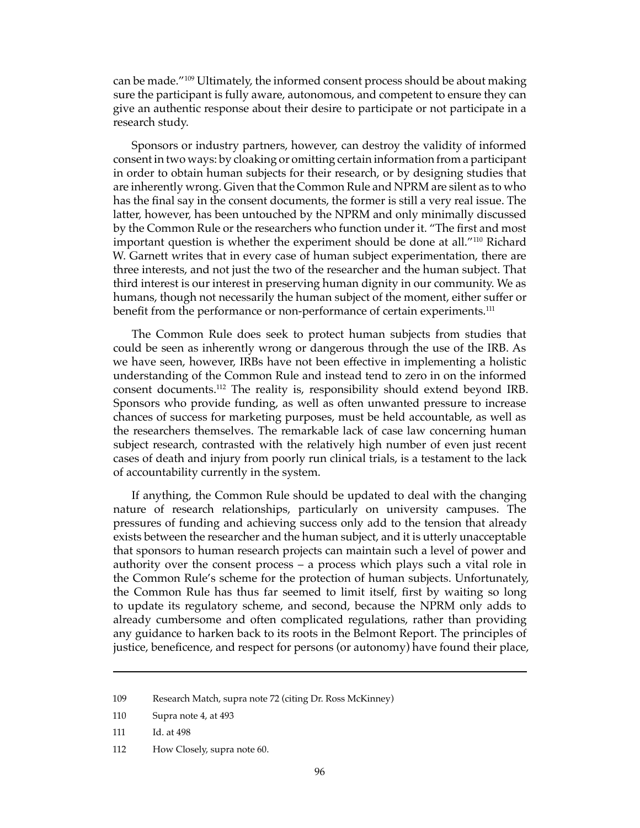can be made."109 Ultimately, the informed consent process should be about making sure the participant is fully aware, autonomous, and competent to ensure they can give an authentic response about their desire to participate or not participate in a research study.

Sponsors or industry partners, however, can destroy the validity of informed consent in two ways: by cloaking or omitting certain information from a participant in order to obtain human subjects for their research, or by designing studies that are inherently wrong. Given that the Common Rule and NPRM are silent as to who has the final say in the consent documents, the former is still a very real issue. The latter, however, has been untouched by the NPRM and only minimally discussed by the Common Rule or the researchers who function under it. "The first and most important question is whether the experiment should be done at all."110 Richard W. Garnett writes that in every case of human subject experimentation, there are three interests, and not just the two of the researcher and the human subject. That third interest is our interest in preserving human dignity in our community. We as humans, though not necessarily the human subject of the moment, either suffer or benefit from the performance or non-performance of certain experiments.<sup>111</sup>

The Common Rule does seek to protect human subjects from studies that could be seen as inherently wrong or dangerous through the use of the IRB. As we have seen, however, IRBs have not been effective in implementing a holistic understanding of the Common Rule and instead tend to zero in on the informed consent documents.112 The reality is, responsibility should extend beyond IRB. Sponsors who provide funding, as well as often unwanted pressure to increase chances of success for marketing purposes, must be held accountable, as well as the researchers themselves. The remarkable lack of case law concerning human subject research, contrasted with the relatively high number of even just recent cases of death and injury from poorly run clinical trials, is a testament to the lack of accountability currently in the system.

If anything, the Common Rule should be updated to deal with the changing nature of research relationships, particularly on university campuses. The pressures of funding and achieving success only add to the tension that already exists between the researcher and the human subject, and it is utterly unacceptable that sponsors to human research projects can maintain such a level of power and authority over the consent process – a process which plays such a vital role in the Common Rule's scheme for the protection of human subjects. Unfortunately, the Common Rule has thus far seemed to limit itself, first by waiting so long to update its regulatory scheme, and second, because the NPRM only adds to already cumbersome and often complicated regulations, rather than providing any guidance to harken back to its roots in the Belmont Report. The principles of justice, beneficence, and respect for persons (or autonomy) have found their place,

<sup>109</sup> Research Match, supra note 72 (citing Dr. Ross McKinney)

<sup>110</sup> Supra note 4, at 493

<sup>111</sup> Id. at 498

<sup>112</sup> How Closely, supra note 60.